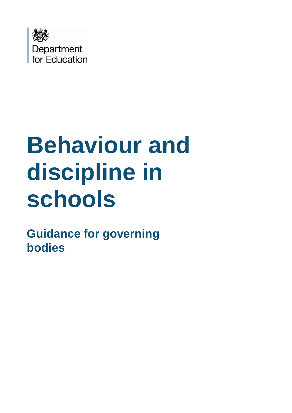

# **Behaviour and discipline in schools**

**Guidance for governing bodies**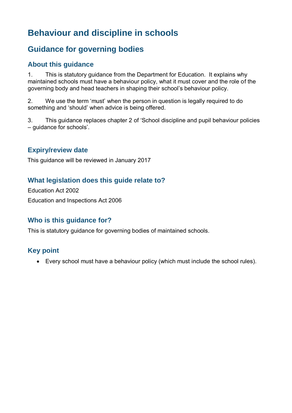# **Behaviour and discipline in schools**

# **Guidance for governing bodies**

# **About this guidance**

1. This is statutory guidance from the Department for Education. It explains why maintained schools must have a behaviour policy, what it must cover and the role of the governing body and head teachers in shaping their school's behaviour policy.

2. We use the term 'must' when the person in question is legally required to do something and 'should' when advice is being offered.

3. This guidance replaces chapter 2 of 'School discipline and pupil behaviour policies – guidance for schools'.

# **Expiry/review date**

This guidance will be reviewed in January 2017

# **What legislation does this guide relate to?**

Education Act 2002 Education and Inspections Act 2006

# **Who is this guidance for?**

This is statutory guidance for governing bodies of maintained schools.

# **Key point**

Every school must have a behaviour policy (which must include the school rules).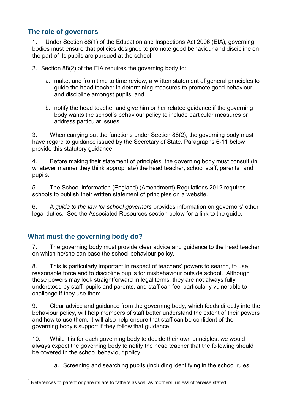# **The role of governors**

1. Under Section 88(1) of the Education and Inspections Act 2006 (EIA), governing bodies must ensure that policies designed to promote good behaviour and discipline on the part of its pupils are pursued at the school.

2. Section 88(2) of the EIA requires the governing body to:

- a. make, and from time to time review, a written statement of general principles to guide the head teacher in determining measures to promote good behaviour and discipline amongst pupils; and
- b. notify the head teacher and give him or her related guidance if the governing body wants the school's behaviour policy to include particular measures or address particular issues.

3. When carrying out the functions under Section 88(2), the governing body must have regard to guidance issued by the Secretary of State. Paragraphs 6-11 below provide this statutory guidance.

4. Before making their statement of principles, the governing body must consult (in whatever manner they think appropriate) the head teacher, school staff, parents<sup>1</sup> and pupils.

5. The School Information (England) (Amendment) Regulations 2012 requires schools to publish their written statement of principles on a website.

6. A *guide to the law for school governors* provides information on governors' other legal duties. See the Associated Resources section below for a link to the guide.

# **What must the governing body do?**

1

7. The governing body must provide clear advice and guidance to the head teacher on which he/she can base the school behaviour policy.

8. This is particularly important in respect of teachers' powers to search, to use reasonable force and to discipline pupils for misbehaviour outside school. Although these powers may look straightforward in legal terms, they are not always fully understood by staff, pupils and parents, and staff can feel particularly vulnerable to challenge if they use them.

9. Clear advice and guidance from the governing body, which feeds directly into the behaviour policy, will help members of staff better understand the extent of their powers and how to use them. It will also help ensure that staff can be confident of the governing body's support if they follow that guidance.

10. While it is for each governing body to decide their own principles, we would always expect the governing body to notify the head teacher that the following should be covered in the school behaviour policy:

a. Screening and searching pupils (including identifying in the school rules

 $1$  References to parent or parents are to fathers as well as mothers, unless otherwise stated.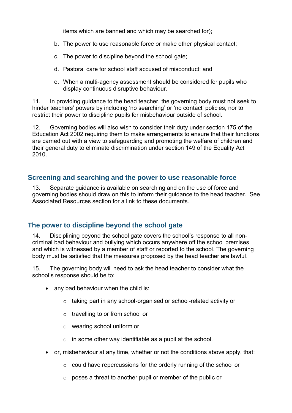items which are banned and which may be searched for);

- b. The power to use reasonable force or make other physical contact;
- c. The power to discipline beyond the school gate;
- d. Pastoral care for school staff accused of misconduct; and
- e. When a multi-agency assessment should be considered for pupils who display continuous disruptive behaviour.

11. In providing guidance to the head teacher, the governing body must not seek to hinder teachers' powers by including 'no searching' or 'no contact' policies, nor to restrict their power to discipline pupils for misbehaviour outside of school.

12. Governing bodies will also wish to consider their duty under section 175 of the Education Act 2002 requiring them to make arrangements to ensure that their functions are carried out with a view to safeguarding and promoting the welfare of children and their general duty to eliminate discrimination under section 149 of the Equality Act 2010.

#### **Screening and searching and the power to use reasonable force**

13. Separate guidance is available on searching and on the use of force and governing bodies should draw on this to inform their guidance to the head teacher. See Associated Resources section for a link to these documents.

# **The power to discipline beyond the school gate**

14. Disciplining beyond the school gate covers the school's response to all noncriminal bad behaviour and bullying which occurs anywhere off the school premises and which is witnessed by a member of staff or reported to the school. The governing body must be satisfied that the measures proposed by the head teacher are lawful.

15. The governing body will need to ask the head teacher to consider what the school's response should be to:

- any bad behaviour when the child is:
	- o taking part in any school-organised or school-related activity or
	- o travelling to or from school or
	- o wearing school uniform or
	- $\circ$  in some other way identifiable as a pupil at the school.
- or, misbehaviour at any time, whether or not the conditions above apply, that:
	- $\circ$  could have repercussions for the orderly running of the school or
	- $\circ$  poses a threat to another pupil or member of the public or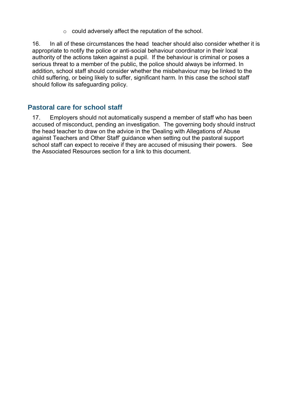o could adversely affect the reputation of the school.

16. In all of these circumstances the head teacher should also consider whether it is appropriate to notify the police or anti-social behaviour coordinator in their local authority of the actions taken against a pupil. If the behaviour is criminal or poses a serious threat to a member of the public, the police should always be informed. In addition, school staff should consider whether the misbehaviour may be linked to the child suffering, or being likely to suffer, significant harm. In this case the school staff should follow its safeguarding policy.

# **Pastoral care for school staff**

17. Employers should not automatically suspend a member of staff who has been accused of misconduct, pending an investigation. The governing body should instruct the head teacher to draw on the advice in the 'Dealing with Allegations of Abuse against Teachers and Other Staff' guidance when setting out the pastoral support school staff can expect to receive if they are accused of misusing their powers. See the Associated Resources section for a link to this document.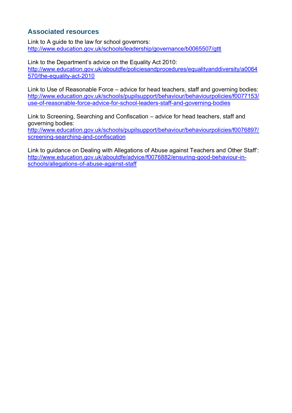# **Associated resources**

Link to A guide to the law for school governors: <http://www.education.gov.uk/schools/leadership/governance/b0065507/gttl>

Link to the Department's advice on the Equality Act 2010: [http://www.education.gov.uk/aboutdfe/policiesandprocedures/equalityanddiversity/a0064](http://www.education.gov.uk/aboutdfe/policiesandprocedures/equalityanddiversity/a0064570/the-equality-act-2010) [570/the-equality-act-2010](http://www.education.gov.uk/aboutdfe/policiesandprocedures/equalityanddiversity/a0064570/the-equality-act-2010) 

Link to Use of Reasonable Force – advice for head teachers, staff and governing bodies: [http://www.education.gov.uk/schools/pupilsupport/behaviour/behaviourpolicies/f0077153/](http://www.education.gov.uk/schools/pupilsupport/behaviour/behaviourpolicies/f0077153/use-of-reasonable-force-advice-for-school-leaders-staff-and-governing-bodies) [use-of-reasonable-force-advice-for-school-leaders-staff-and-governing-bodies](http://www.education.gov.uk/schools/pupilsupport/behaviour/behaviourpolicies/f0077153/use-of-reasonable-force-advice-for-school-leaders-staff-and-governing-bodies)

Link to Screening, Searching and Confiscation – advice for head teachers, staff and governing bodies:

[http://www.education.gov.uk/schools/pupilsupport/behaviour/behaviourpolicies/f0076897/](http://www.education.gov.uk/schools/pupilsupport/behaviour/behaviourpolicies/f0076897/screening-searching-and-confiscation) [screening-searching-and-confiscation](http://www.education.gov.uk/schools/pupilsupport/behaviour/behaviourpolicies/f0076897/screening-searching-and-confiscation)

Link to guidance on Dealing with Allegations of Abuse against Teachers and Other Staff': [http://www.education.gov.uk/aboutdfe/advice/f0076882/ensuring-good-behaviour-in](http://www.education.gov.uk/aboutdfe/advice/f0076882/ensuring-good-behaviour-in-schools/allegations-of-abuse-against-staff)[schools/allegations-of-abuse-against-staff](http://www.education.gov.uk/aboutdfe/advice/f0076882/ensuring-good-behaviour-in-schools/allegations-of-abuse-against-staff)